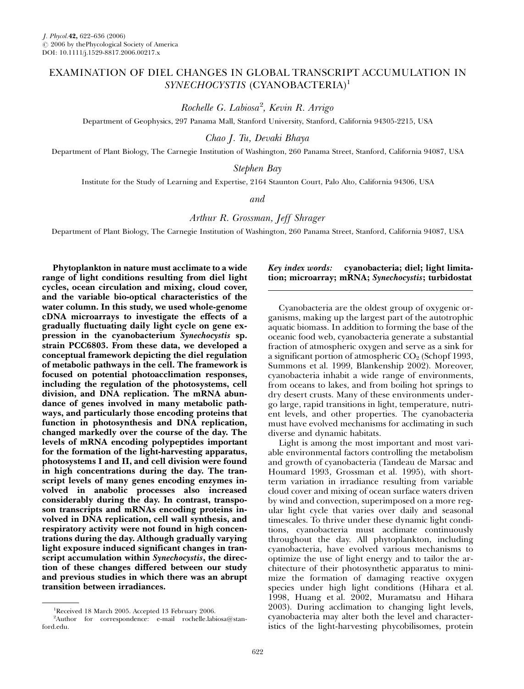# EXAMINATION OF DIEL CHANGES IN GLOBAL TRANSCRIPT ACCUMULATION IN SYNECHOCYSTIS (CYANOBACTERIA)<sup>1</sup>

Rochelle G. Labiosa<sup>2</sup>, Kevin R. Arrigo

Department of Geophysics, 297 Panama Mall, Stanford University, Stanford, California 94305-2215, USA

# Chao J. Tu, Devaki Bhaya

Department of Plant Biology, The Carnegie Institution of Washington, 260 Panama Street, Stanford, California 94087, USA

### Stephen Bay

Institute for the Study of Learning and Expertise, 2164 Staunton Court, Palo Alto, California 94306, USA

and

### Arthur R. Grossman, Jeff Shrager

Department of Plant Biology, The Carnegie Institution of Washington, 260 Panama Street, Stanford, California 94087, USA

Phytoplankton in nature must acclimate to a wide range of light conditions resulting from diel light cycles, ocean circulation and mixing, cloud cover, and the variable bio-optical characteristics of the water column. In this study, we used whole-genome cDNA microarrays to investigate the effects of a gradually fluctuating daily light cycle on gene expression in the cyanobacterium Synechocystis sp. strain PCC6803. From these data, we developed a conceptual framework depicting the diel regulation of metabolic pathways in the cell. The framework is focused on potential photoacclimation responses, including the regulation of the photosystems, cell division, and DNA replication. The mRNA abundance of genes involved in many metabolic pathways, and particularly those encoding proteins that function in photosynthesis and DNA replication, changed markedly over the course of the day. The levels of mRNA encoding polypeptides important for the formation of the light-harvesting apparatus, photosystems I and II, and cell division were found in high concentrations during the day. The transcript levels of many genes encoding enzymes involved in anabolic processes also increased considerably during the day. In contrast, transposon transcripts and mRNAs encoding proteins involved in DNA replication, cell wall synthesis, and respiratory activity were not found in high concentrations during the day. Although gradually varying light exposure induced significant changes in transcript accumulation within Synechocystis, the direction of these changes differed between our study and previous studies in which there was an abrupt transition between irradiances.

# Key index words: cyanobacteria; diel; light limitation; microarray; mRNA; Synechocystis; turbidostat

Cyanobacteria are the oldest group of oxygenic organisms, making up the largest part of the autotrophic aquatic biomass. In addition to forming the base of the oceanic food web, cyanobacteria generate a substantial fraction of atmospheric oxygen and serve as a sink for a significant portion of atmospheric  $CO<sub>2</sub>$  (Schopf 1993, Summons et al. 1999, Blankenship 2002). Moreover, cyanobacteria inhabit a wide range of environments, from oceans to lakes, and from boiling hot springs to dry desert crusts. Many of these environments undergo large, rapid transitions in light, temperature, nutrient levels, and other properties. The cyanobacteria must have evolved mechanisms for acclimating in such diverse and dynamic habitats.

Light is among the most important and most variable environmental factors controlling the metabolism and growth of cyanobacteria (Tandeau de Marsac and Houmard 1993, Grossman et al. 1995), with shortterm variation in irradiance resulting from variable cloud cover and mixing of ocean surface waters driven by wind and convection, superimposed on a more regular light cycle that varies over daily and seasonal timescales. To thrive under these dynamic light conditions, cyanobacteria must acclimate continuously throughout the day. All phytoplankton, including cyanobacteria, have evolved various mechanisms to optimize the use of light energy and to tailor the architecture of their photosynthetic apparatus to minimize the formation of damaging reactive oxygen species under high light conditions (Hihara et al. 1998, Huang et al. 2002, Muramatsu and Hihara 2003). During acclimation to changing light levels, cyanobacteria may alter both the level and characteristics of the light-harvesting phycobilisomes, protein

<sup>&</sup>lt;sup>1</sup>Received 18 March 2005. Accepted 13 February 2006.

<sup>&</sup>lt;sup>2</sup>Author for correspondence: e-mail rochelle.labiosa@stanford.edu.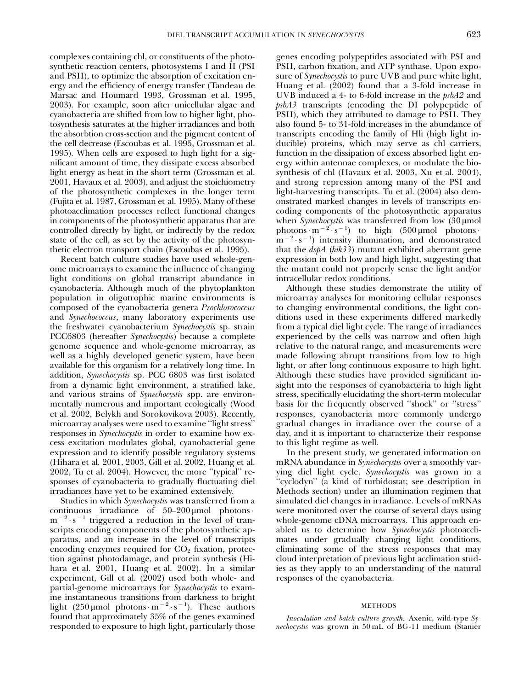complexes containing chl, or constituents of the photosynthetic reaction centers, photosystems I and II (PSI and PSII), to optimize the absorption of excitation energy and the efficiency of energy transfer (Tandeau de Marsac and Houmard 1993, Grossman et al. 1995, 2003). For example, soon after unicellular algae and cyanobacteria are shifted from low to higher light, photosynthesis saturates at the higher irradiances and both the absorbtion cross-section and the pigment content of the cell decrease (Escoubas et al. 1995, Grossman et al. 1995). When cells are exposed to high light for a significant amount of time, they dissipate excess absorbed light energy as heat in the short term (Grossman et al. 2001, Havaux et al. 2003), and adjust the stoichiometry of the photosynthetic complexes in the longer term (Fujita et al. 1987, Grossman et al. 1995). Many of these photoacclimation processes reflect functional changes in components of the photosynthetic apparatus that are controlled directly by light, or indirectly by the redox state of the cell, as set by the activity of the photosynthetic electron transport chain (Escoubas et al. 1995).

Recent batch culture studies have used whole-genome microarrays to examine the influence of changing light conditions on global transcript abundance in cyanobacteria. Although much of the phytoplankton population in oligotrophic marine environments is composed of the cyanobacteria genera Prochlorococcus and Synechococcus, many laboratory experiments use the freshwater cyanobacterium Synechocystis sp. strain PCC6803 (hereafter Synechocystis) because a complete genome sequence and whole-genome microarray, as well as a highly developed genetic system, have been available for this organism for a relatively long time. In addition, Synechocystis sp. PCC 6803 was first isolated from a dynamic light environment, a stratified lake, and various strains of Synechocystis spp. are environmentally numerous and important ecologically (Wood et al. 2002, Belykh and Sorokovikova 2003). Recently, microarray analyses were used to examine ''light stress'' responses in Synechocystis in order to examine how excess excitation modulates global, cyanobacterial gene expression and to identify possible regulatory systems (Hihara et al. 2001, 2003, Gill et al. 2002, Huang et al. 2002, Tu et al. 2004). However, the more ''typical'' responses of cyanobacteria to gradually fluctuating diel irradiances have yet to be examined extensively.

Studies in which Synechocystis was transferred from a continuous irradiance of  $50-200 \mu$ mol photons  $m^{-2} \cdot s^{-1}$  triggered a reduction in the level of transcripts encoding components of the photosynthetic apparatus, and an increase in the level of transcripts encoding enzymes required for  $CO<sub>2</sub>$  fixation, protection against photodamage, and protein synthesis (Hihara et al. 2001, Huang et al. 2002). In a similar experiment, Gill et al. (2002) used both whole- and partial-genome microarrays for Synechocystis to examine instantaneous transitions from darkness to bright light  $(250 \,\mu\text{mol}$  photons  $\cdot$  m<sup>-2</sup> $\cdot$ s<sup>-1</sup>). These authors found that approximately 35% of the genes examined responded to exposure to high light, particularly those

genes encoding polypeptides associated with PSI and PSII, carbon fixation, and ATP synthase. Upon exposure of *Synechocystis* to pure UVB and pure white light, Huang et al. (2002) found that a 3-fold increase in UVB induced a 4- to 6-fold increase in the psbA2 and psbA3 transcripts (encoding the DI polypeptide of PSII), which they attributed to damage to PSII. They also found 5- to 31-fold increases in the abundance of transcripts encoding the family of Hli (high light inducible) proteins, which may serve as chl carriers, function in the dissipation of excess absorbed light energy within antennae complexes, or modulate the biosynthesis of chl (Havaux et al. 2003, Xu et al. 2004), and strong repression among many of the PSI and light-harvesting transcripts. Tu et al. (2004) also demonstrated marked changes in levels of transcripts encoding components of the photosynthetic apparatus when Synechocystis was transferred from low  $(30 \,\mu\text{mol})$ photons  $\cdot$  m<sup>-2</sup> $\cdot$ s<sup>-1</sup>) to high (500 µmol photons ·  $(m^{-2} \cdot s^{-1})$  intensity illumination, and demonstrated that the  $dspA$  (hik33) mutant exhibited aberrant gene expression in both low and high light, suggesting that the mutant could not properly sense the light and/or intracellular redox conditions.

Although these studies demonstrate the utility of microarray analyses for monitoring cellular responses to changing environmental conditions, the light conditions used in these experiments differed markedly from a typical diel light cycle. The range of irradiances experienced by the cells was narrow and often high relative to the natural range, and measurements were made following abrupt transitions from low to high light, or after long continuous exposure to high light. Although these studies have provided significant insight into the responses of cyanobacteria to high light stress, specifically elucidating the short-term molecular basis for the frequently observed ''shock'' or ''stress'' responses, cyanobacteria more commonly undergo gradual changes in irradiance over the course of a day, and it is important to characterize their response to this light regime as well.

In the present study, we generated information on mRNA abundance in Synechocystis over a smoothly varying diel light cycle. Synechocystis was grown in a ''cyclodyn'' (a kind of turbidostat; see description in Methods section) under an illumination regimen that simulated diel changes in irradiance. Levels of mRNAs were monitored over the course of several days using whole-genome cDNA microarrays. This approach enabled us to determine how Synechocystis photoacclimates under gradually changing light conditions, eliminating some of the stress responses that may cloud interpretation of previous light acclimation studies as they apply to an understanding of the natural responses of the cyanobacteria.

#### METHODS

Inoculation and batch culture growth. Axenic, wild-type Synechocystis was grown in 50 mL of BG-11 medium (Stanier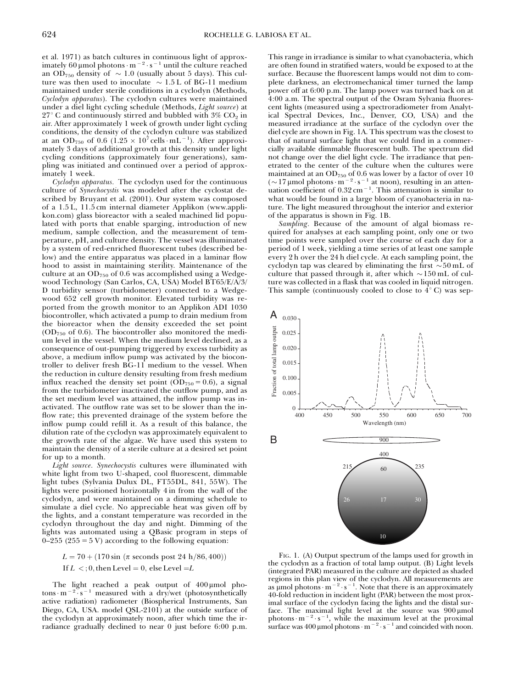et al. 1971) as batch cultures in continuous light of approximately  $60\,\upmu$ mol photons  $\cdot$  m $^{-2}\cdot$ s $^{-1}$  until the culture reached an  $\overrightarrow{OD_{750}}$  density of  $\sim 1.0$  (usually about 5 days). This culture was then used to inoculate  $\sim 1.5$  L of BG-11 medium maintained under sterile conditions in a cyclodyn (Methods, Cyclodyn apparatus). The cyclodyn cultures were maintained under a diel light cycling schedule (Methods, Light source) at  $27^{\circ}$  C and continuously stirred and bubbled with  $3\%$  CO<sub>2</sub> in air. After approximately 1 week of growth under light cycling conditions, the density of the cyclodyn culture was stabilized at an OD<sub>750</sub> of 0.6 (1.25  $\times$  10<sup>7</sup> cells  $\cdot$  mL<sup>-1</sup>). After approximately 3 days of additional growth at this density under light cycling conditions (approximately four generations), sampling was initiated and continued over a period of approximately 1 week.

Cyclodyn apparatus. The cyclodyn used for the continuous culture of Synechocystis was modeled after the cyclostat described by Bruyant et al. (2001). Our system was composed of a 1.5 L, 11.5 cm internal diameter Applikon (www.applikon.com) glass bioreactor with a sealed machined lid populated with ports that enable sparging, introduction of new medium, sample collection, and the measurement of temperature, pH, and culture density. The vessel was illuminated by a system of red-enriched fluorescent tubes (described below) and the entire apparatus was placed in a laminar flow hood to assist in maintaining sterility. Maintenance of the culture at an  $OD_{750}$  of 0.6 was accomplished using a Wedgewood Technology (San Carlos, CA, USA) Model BT65/E/A/3/ D turbidity sensor (turbidometer) connected to a Wedgewood 652 cell growth monitor. Elevated turbidity was reported from the growth monitor to an Applikon ADI 1030 biocontroller, which activated a pump to drain medium from the bioreactor when the density exceeded the set point  $(OD_{750}$  of 0.6). The biocontroller also monitored the medium level in the vessel. When the medium level declined, as a consequence of out-pumping triggered by excess turbidity as above, a medium inflow pump was activated by the biocontroller to deliver fresh BG-11 medium to the vessel. When the reduction in culture density resulting from fresh medium influx reached the density set point  $OD_{750} = 0.6$ ), a signal from the turbidometer inactivated the outflow pump, and as the set medium level was attained, the inflow pump was inactivated. The outflow rate was set to be slower than the inflow rate; this prevented drainage of the system before the inflow pump could refill it. As a result of this balance, the dilution rate of the cyclodyn was approximately equivalent to the growth rate of the algae. We have used this system to maintain the density of a sterile culture at a desired set point for up to a month.

Light source. Synechocystis cultures were illuminated with white light from two U-shaped, cool fluorescent, dimmable light tubes (Sylvania Dulux DL, FT55DL, 841, 55W). The lights were positioned horizontally 4 in from the wall of the cyclodyn, and were maintained on a dimming schedule to simulate a diel cycle. No appreciable heat was given off by the lights, and a constant temperature was recorded in the cyclodyn throughout the day and night. Dimming of the lights was automated using a QBasic program in steps of  $0-255$  ( $255 = 5$  V) according to the following equation:

 $L = 70 + (170 \sin (\pi \text{ seconds post } 24 \text{ h}/86, 400))$ If  $L <$ ; 0, then Level = 0, else Level = L

The light reached a peak output of  $400 \mu$ mol photons  $\cdot$  m<sup>-2</sup> s<sup>-1</sup> measured with a dry/wet (photosynthetically active radiation) radiometer (Biospherical Instruments, San Diego, CA, USA. model QSL-2101) at the outside surface of the cyclodyn at approximately noon, after which time the irradiance gradually declined to near 0 just before 6:00 p.m. This range in irradiance is similar to what cyanobacteria, which are often found in stratified waters, would be exposed to at the surface. Because the fluorescent lamps would not dim to complete darkness, an electromechanical timer turned the lamp power off at 6:00 p.m. The lamp power was turned back on at  $4:00$  a.m. The spectral output of the Osram Sylvania fluorescent lights (measured using a spectroradiometer from Analytical Spectral Devices, Inc., Denver, CO, USA) and the measured irradiance at the surface of the cyclodyn over the diel cycle are shown in Fig. 1A. This spectrum was the closest to that of natural surface light that we could find in a commercially available dimmable fluorescent bulb. The spectrum did not change over the diel light cycle. The irradiance that penetrated to the center of the culture when the cultures were maintained at an  $OD_{750}$  of 0.6 was lower by a factor of over 10 ( $\sim$ 17 µmol photons · m<sup>-2</sup> · s<sup>-1</sup> at noon), resulting in an attenuation coefficient of  $0.32 \text{ cm}^{-1}$ . This attenuation is similar to what would be found in a large bloom of cyanobacteria in nature. The light measured throughout the interior and exterior of the apparatus is shown in Fig. 1B.

Sampling. Because of the amount of algal biomass required for analyses at each sampling point, only one or two time points were sampled over the course of each day for a period of 1 week, yielding a time series of at least one sample every 2 h over the 24 h diel cycle. At each sampling point, the cyclodyn tap was cleared by eliminating the first  $\sim 50$  mL of culture that passed through it, after which  $\sim$  150 mL of culture was collected in a flask that was cooled in liquid nitrogen. This sample (continuously cooled to close to  $4^{\circ}$  C) was sep-



FIG. 1. (A) Output spectrum of the lamps used for growth in the cyclodyn as a fraction of total lamp output. (B) Light levels (integrated PAR) measured in the culture are depicted as shaded regions in this plan view of the cyclodyn. All measurements are as umol photons  $\cdot$  m<sup>-2</sup> $\cdot$ s<sup>-1</sup>. Note that there is an approximately 40-fold reduction in incident light (PAR) between the most proximal surface of the cyclodyn facing the lights and the distal surface. The maximal light level at the source was  $900 \mu \text{mol}$ photons  $\cdot$  m<sup>-2</sup> $\cdot$ s<sup>-1</sup>, while the maximum level at the proximal surface was  $400 \mu$ mol photons  $\cdot$  m<sup>-2</sup> $\cdot$  s<sup>-1</sup> and coincided with noon.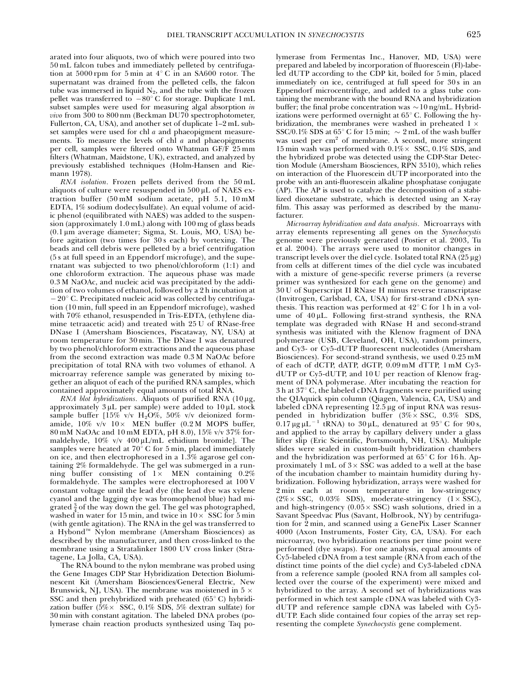arated into four aliquots, two of which were poured into two 50 mL falcon tubes and immediately pelleted by centrifugation at  $5000$  rpm for  $5 \text{ min}$  at  $4^{\circ}$  C in an SA600 rotor. The supernatant was drained from the pelleted cells, the falcon tube was immersed in liquid  $N_2$ , and the tube with the frozen pellet was transferred to  $-80^{\circ}$  C for storage. Duplicate 1 mL subset samples were used for measuring algal absorption in vivo from  $300$  to  $800$  nm (Beckman DU70 spectrophotometer, Fullerton, CA, USA), and another set of duplicate  $1-2$  mL subset samples were used for chl a and phaeopigment measurements. To measure the levels of chl  $a$  and phaeopigments per cell, samples were filtered onto Whatman GF/F 25 mm filters (Whatman, Maidstone, UK), extracted, and analyzed by previously established techniques (Holm-Hansen and Riemann 1978).

RNA isolation. Frozen pellets derived from the 50 mL aliquots of culture were resuspended in  $500 \mu L$  of NAES extraction buffer (50 mM sodium acetate, pH 5.1, 10 mM EDTA, 1% sodium dodecylsulfate). An equal volume of acidic phenol (equilibrated with NAES) was added to the suspension (approximately 1.0 mL) along with 100 mg of glass beads  $(0.1 \,\mu m$  average diameter; Sigma, St. Louis, MO, USA) before agitation (two times for 30 s each) by vortexing. The beads and cell debris were pelleted by a brief centrifugation (5 s at full speed in an Eppendorf microfuge), and the supernatant was subjected to two phenol/chloroform (1:1) and one chloroform extraction. The aqueous phase was made 0.3 M NaOAc, and nucleic acid was precipitated by the addition of two volumes of ethanol, followed by a 2 h incubation at  $-20^{\circ}$  C. Precipitated nucleic acid was collected by centrifugation (10 min, full speed in an Eppendorf microfuge), washed with 70% ethanol, resuspended in Tris-EDTA, (ethylene diamine tetraacetic acid) and treated with 25 U of RNase-free DNase I (Amersham Biosciences, Piscataway, NY, USA) at room temperature for 30 min. The DNase I was denatured by two phenol/chloroform extractions and the aqueous phase from the second extraction was made 0.3 M NaOAc before precipitation of total RNA with two volumes of ethanol. A microarray reference sample was generated by mixing together an aliquot of each of the purified RNA samples, which contained approximately equal amounts of total RNA.

RNA blot hybridizations. Aliquots of purified RNA ( $10 \mu$ g, approximately  $3 \mu L$  per sample) were added to  $10 \mu L$  stock sample buffer  $15\%$  v/v H<sub>2</sub>O%, 50% v/v deionized formamide,  $10\%$  v/v  $10\times$  MEN buffer (0.2 M MOPS buffer, 80 mM NaOAc and 10 mM EDTA, pH 8.0), 15% v/v 37% formaldehyde,  $10\%$  v/v  $400 \mu L/mL$  ethidium bromide]. The samples were heated at  $70^{\circ}$  C for 5 min, placed immediately on ice, and then electrophoresed in a 1.3% agarose gel containing 2% formaldehyde. The gel was submerged in a running buffer consisting of  $1 \times$  MEN containing 0.2% formaldehyde. The samples were electrophoresed at 100 V constant voltage until the lead dye (the lead dye was xylene cyanol and the lagging dye was bromophenol blue) had migrated  $\frac{3}{4}$  of the way down the gel. The gel was photographed, washed in water for 15 min, and twice in  $10 \times$  SSC for 5 min (with gentle agitation). The RNA in the gel was transferred to a Hybond<sup>™</sup> Nylon membrane (Amersham Biosciences) as described by the manufacturer, and then cross-linked to the membrane using a Stratalinker 1800 UV cross linker (Stratagene, La Jolla, CA, USA).

The RNA bound to the nylon membrane was probed using the Gene Images CDP Star Hybridization Detection Bioluminescent Kit (Amersham Biosciences/General Electric, New Brunswick, NJ, USA). The membrane was moistened in  $5 \times$ SSC and then prehybridized with preheated  $(65^{\circ} \text{ C})$  hybridization buffer (5% $\times$  SSC, 0.1% SDS, 5% dextran sulfate) for 30 min with constant agitation. The labeled DNA probes (polymerase chain reaction products synthesized using Taq polymerase from Fermentas Inc., Hanover, MD, USA) were prepared and labeled by incorporation of fluorescein (Fl)-labeled dUTP according to the CDP kit, boiled for 5 min, placed immediately on ice, centrifuged at full speed for 30s in an Eppendorf microcentrifuge, and added to a glass tube containing the membrane with the bound RNA and hybridization buffer; the final probe concentration was  $\sim 10$  ng/mL. Hybridizations were performed overnight at 65°C. Following the hybridization, the membranes were washed in preheated  $1 \times$ SSC/0.1% SDS at  $65^{\circ}$  C for 15 min;  $\sim 2$  mL of the wash buffer was used per cm<sup>2</sup> of membrane. A second, more stringent 15 min wash was performed with  $0.1\% \times$  SSC,  $0.1\%$  SDS, and the hybridized probe was detected using the CDP-Star Detection Module (Amersham Biosciences, RPN 3510), which relies on interaction of the Fluorescein dUTP incorporated into the probe with an anti-fluorescein alkaline phosphatase conjugate (AP). The AP is used to catalyze the decomposition of a stabilized dioxetane substrate, which is detected using an X-ray film. This assay was performed as described by the manufacturer.

Microarray hybridization and data analysis. Microarrays with array elements representing all genes on the Synechocystis genome were previously generated (Postier et al. 2003, Tu et al. 2004). The arrays were used to monitor changes in transcript levels over the diel cycle. Isolated total RNA  $(25 \mu g)$ from cells at different times of the diel cycle was incubated with a mixture of gene-specific reverse primers (a reverse primer was synthesized for each gene on the genome) and 30 U of Superscript II RNase H minus reverse transcriptase (Invitrogen, Carlsbad, CA, USA) for first-strand cDNA synthesis. This reaction was performed at  $42^{\circ}$  C for 1 h in a volume of  $40 \mu L$ . Following first-strand synthesis, the RNA template was degraded with RNase H and second-strand synthesis was initiated with the Klenow fragment of DNA polymerase (USB, Cleveland, OH, USA), random primers, and Cy3- or Cy5-dUTP fluorescent nucleotides (Amersham Biosciences). For second-strand synthesis, we used 0.25 mM of each of dCTP, dATP, dGTP, 0.09 mM dTTP, 1 mM Cy3 dUTP or Cy5-dUTP, and 10 U per reaction of Klenow fragment of DNA polymerase. After incubating the reaction for  $3 h$  at  $37^{\circ}$  C, the labeled cDNA fragments were purified using the QIAquick spin column (Qiagen, Valencia, CA, USA) and labeled cDNA representing  $12.5 \mu$ g of input RNA was resuspended in hybridization buffer  $(3\% \times SSC, 0.3\%$  SDS,  $\rm \tilde{0.17}$  µg µL $^{-1}$  tRNA) to 30 µL, denatured at 95 $^{\circ}$  C for 90 s, and applied to the array by capillary delivery under a glass lifter slip (Eric Scientific, Portsmouth, NH, USA). Multiple slides were sealed in custom-built hybridization chambers and the hybridization was performed at  $65^{\circ}$  C for 16 h. Approximately 1 mL of  $3 \times$  SSC was added to a well at the base of the incubation chamber to maintain humidity during hybridization. Following hybridization, arrays were washed for 2 min each at room temperature in low-stringency  $(2\% \times SSC, 0.03\% SDS),$  moderate-stringency  $(1 \times SSC),$ and high-stringency  $(0.05 \times SSC)$  wash solutions, dried in a Savant Speedvac Plus (Savant, Holbrook, NY) by centrifugation for 2 min, and scanned using a GenePix Laser Scanner 4000 (Axon Instruments, Foster City, CA, USA). For each microarray, two hybridization reactions per time point were performed (dye swaps). For one analysis, equal amounts of Cy5-labeled cDNA from a test sample (RNA from each of the distinct time points of the diel cycle) and Cy3-labeled cDNA from a reference sample (pooled RNA from all samples collected over the course of the experiment) were mixed and hybridized to the array. A second set of hybridizations was performed in which test sample cDNA was labeled with Cy3 dUTP and reference sample cDNA was labeled with Cy5 dUTP. Each slide contained four copies of the array set representing the complete Synechocystis gene complement.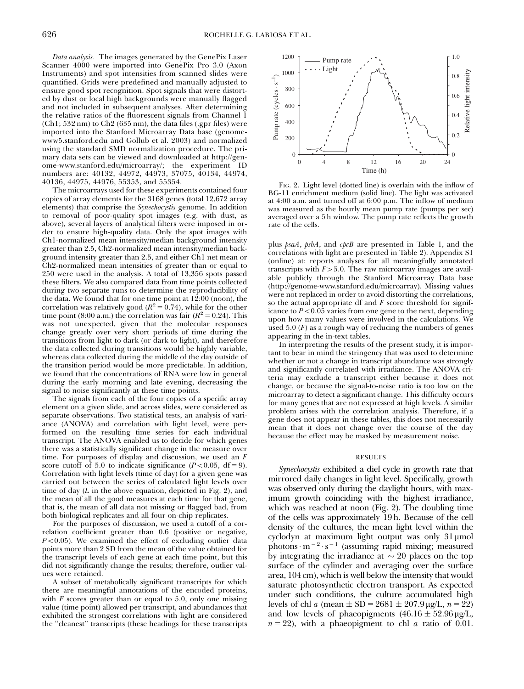Data analysis. The images generated by the GenePix Laser Scanner 4000 were imported into GenePix Pro 3.0 (Axon Instruments) and spot intensities from scanned slides were quantified. Grids were predefined and manually adjusted to ensure good spot recognition. Spot signals that were distorted by dust or local high backgrounds were manually flagged and not included in subsequent analyses. After determining the relative ratios of the fluorescent signals from Channel 1 (Ch1; 532 nm) to Ch2 (635 nm), the data files (.gpr files) were imported into the Stanford Microarray Data base (genomewww5.stanford.edu and Gollub et al. 2003) and normalized using the standard SMD normalization procedure. The primary data sets can be viewed and downloaded at http://genome-www.stanford.edu/microarray/; the experiment ID numbers are: 40132, 44972, 44973, 37075, 40134, 44974, 40136, 44975, 44976, 55353, and 55354.

The microarrays used for these experiments contained four copies of array elements for the 3168 genes (total 12,672 array elements) that comprise the Synechocystis genome. In addition to removal of poor-quality spot images (e.g. with dust, as above), several layers of analytical filters were imposed in order to ensure high-quality data. Only the spot images with Ch1-normalized mean intensity/median background intensity greater than 2.5, Ch2-normalized mean intensity/median background intensity greater than 2.5, and either Ch1 net mean or Ch2-normalized mean intensities of greater than or equal to 250 were used in the analysis. A total of 13,356 spots passed these filters. We also compared data from time points collected during two separate runs to determine the reproducibility of the data. We found that for one time point at  $12:00$  (noon), the correlation was relatively good ( $R^2 = 0.74$ ), while for the other time point (8:00 a.m.) the correlation was fair ( $R^2 = 0.24$ ). This was not unexpected, given that the molecular responses change greatly over very short periods of time during the transitions from light to dark (or dark to light), and therefore the data collected during transitions would be highly variable, whereas data collected during the middle of the day outside of the transition period would be more predictable. In addition, we found that the concentrations of RNA were low in general during the early morning and late evening, decreasing the signal to noise significantly at these time points.

The signals from each of the four copies of a specific array element on a given slide, and across slides, were considered as separate observations. Two statistical tests, an analysis of variance (ANOVA) and correlation with light level, were performed on the resulting time series for each individual transcript. The ANOVA enabled us to decide for which genes there was a statistically significant change in the measure over time. For purposes of display and discussion, we used an F score cutoff of 5.0 to indicate significance ( $P < 0.05$ , df = 9). Correlation with light levels (time of day) for a given gene was carried out between the series of calculated light levels over time of day  $(L$  in the above equation, depicted in Fig. 2), and the mean of all the good measures at each time for that gene, that is, the mean of all data not missing or flagged bad, from both biological replicates and all four on-chip replicates.

For the purposes of discussion, we used a cutoff of a correlation coefficient greater than 0.6 (positive or negative,  $P<0.05$ ). We examined the effect of excluding outlier data points more than 2 SD from the mean of the value obtained for the transcript levels of each gene at each time point, but this did not significantly change the results; therefore, outlier values were retained.

A subset of metabolically significant transcripts for which there are meaningful annotations of the encoded proteins, with  $F$  scores greater than or equal to 5.0, only one missing value (time point) allowed per transcript, and abundances that exhibited the strongest correlations with light are considered the ''cleanest'' transcripts (these headings for these transcripts



FIG. 2. Light level (dotted line) is overlain with the inflow of BG-11 enrichment medium (solid line). The light was activated at 4:00 a.m. and turned off at 6:00 p.m. The inflow of medium was measured as the hourly mean pump rate (pumps per sec) averaged over a 5 h window. The pump rate reflects the growth rate of the cells.

plus psaA, psbA, and cpcB are presented in Table 1, and the correlations with light are presented in Table 2). Appendix S1 (online) at: reports analyses for all meaningfully annotated transcripts with  $F > 5.0$ . The raw microarray images are available publicly through the Stanford Microarray Data base (http://genome-www.stanford.edu/microarray). Missing values were not replaced in order to avoid distorting the correlations, so the actual appropriate df and  $F$  score threshold for significance to  $P < 0.05$  varies from one gene to the next, depending upon how many values were involved in the calculations. We used 5.0  $(F)$  as a rough way of reducing the numbers of genes appearing in the in-text tables.

In interpreting the results of the present study, it is important to bear in mind the stringency that was used to determine whether or not a change in transcript abundance was strongly and significantly correlated with irradiance. The ANOVA criteria may exclude a transcript either because it does not change, or because the signal-to-noise ratio is too low on the microarray to detect a significant change. This difficulty occurs for many genes that are not expressed at high levels. A similar problem arises with the correlation analysis. Therefore, if a gene does not appear in these tables, this does not necessarily mean that it does not change over the course of the day because the effect may be masked by measurement noise.

#### RESULTS

Synechocystis exhibited a diel cycle in growth rate that mirrored daily changes in light level. Specifically, growth was observed only during the daylight hours, with maximum growth coinciding with the highest irradiance, which was reached at noon (Fig. 2). The doubling time of the cells was approximately 19 h. Because of the cell density of the cultures, the mean light level within the cyclodyn at maximum light output was only 31 µmol photons  $\cdot$  m<sup>-2</sup> $\cdot$ s<sup>-1</sup> (assuming rapid mixing; measured by integrating the irradiance at  $\sim$  20 places on the top surface of the cylinder and averaging over the surface area, 104 cm), which is well below the intensity that would saturate photosynthetic electron transport. As expected under such conditions, the culture accumulated high levels of chl *a* (mean  $\pm$  SD = 2681  $\pm$  207.9 µg/L, *n* = 22) and low levels of phaeopigments  $(46.16 \pm 52.96 \,\mu\text{g/L})$ ,  $n = 22$ ), with a phaeopigment to chl *a* ratio of 0.01.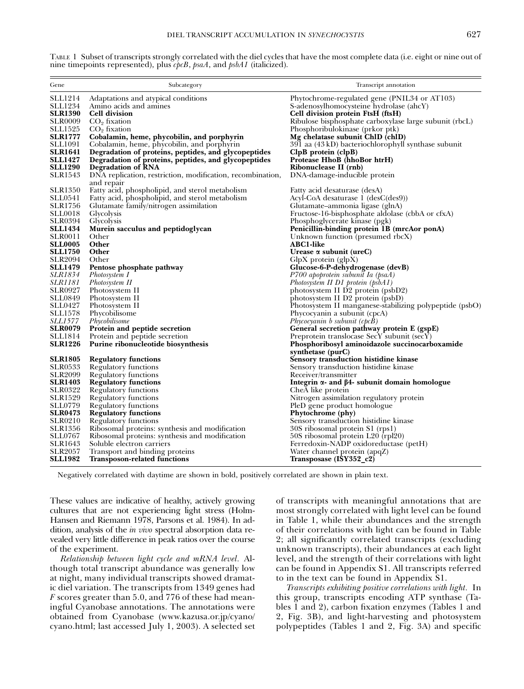| Gene           | Subcategory                                                              | Transcript annotation                                       |
|----------------|--------------------------------------------------------------------------|-------------------------------------------------------------|
| SLL1214        | Adaptations and atypical conditions                                      | Phytochrome-regulated gene (PNIL34 or AT103)                |
| SLL1234        | Amino acids and amines                                                   | S-adenosylhomocysteine hydrolase (ahcY)                     |
| <b>SLR1390</b> | <b>Cell division</b>                                                     | Cell division protein FtsH (ftsH)                           |
| <b>SLR0009</b> | $CO2$ fixation                                                           | Ribulose bisphosphate carboxylase large subunit (rbcL)      |
| <b>SLL1525</b> | $CO2$ fixation                                                           | Phosphoribulokinase (prkor ptk)                             |
| <b>SLR1777</b> | Cobalamin, heme, phycobilin, and porphyrin                               | Mg chelatase subunit ChID (chID)                            |
| <b>SLL1091</b> | Cobalamin, heme, phycobilin, and porphyrin                               | 391 aa (43 kD) bacteriochlorophyll synthase subunit         |
| <b>SLR1641</b> | Degradation of proteins, peptides, and glycopeptides                     | $ClpB$ protein $(clpB)$                                     |
| <b>SLL1427</b> | Degradation of proteins, peptides, and glycopeptides                     | Protease HhoB (hhoBor htrH)                                 |
| <b>SLL1290</b> | <b>Degradation of RNA</b>                                                | Ribonuclease II (rnb)                                       |
| <b>SLR1543</b> | DNA replication, restriction, modification, recombination,<br>and repair | DNA-damage-inducible protein                                |
| <b>SLR1350</b> | Fatty acid, phospholipid, and sterol metabolism                          | Fatty acid desaturase (desA)                                |
| SLL0541        | Fatty acid, phospholipid, and sterol metabolism                          | Acyl-CoA desaturase 1 (desC(des9))                          |
| SLR1756        | Glutamate family/nitrogen assimilation                                   | Glutamate–ammonia ligase (glnA)                             |
| <b>SLL0018</b> | Glycolysis                                                               | Fructose-16-bisphosphate aldolase (cbbA or cfxA)            |
| <b>SLR0394</b> | Glycolysis                                                               | Phosphoglycerate kinase (pgk)                               |
| <b>SLL1434</b> | Murein sacculus and peptidoglycan                                        | Penicillin-binding protein 1B (mrcAor ponA)                 |
| <b>SLR0011</b> | Other                                                                    | Unknown function (presumed rbcX)                            |
| <b>SLL0005</b> | Other                                                                    | <b>ABC1-like</b>                                            |
| <b>SLL1750</b> | Other                                                                    | Urease $\alpha$ subunit (ureC)                              |
| <b>SLR2094</b> | Other                                                                    | $G$ lpX protein (glpX)                                      |
| <b>SLL1479</b> | Pentose phosphate pathway                                                | Glucose-6-P-dehydrogenase (devB)                            |
| <i>SLR1834</i> | Photosystem 1                                                            | $P700$ apoprotein subunit Ia (psaA)                         |
| <i>SLR1181</i> | Photosystem II                                                           | Photosystem II D1 protein (psbA1)                           |
| <b>SLR0927</b> | Photosystem II                                                           | photosystem II D2 protein (psbD2)                           |
| <b>SLL0849</b> | Photosystem II                                                           | photosystem II D2 protein (psbD)                            |
| <b>SLL0427</b> | Photosystem II                                                           | Photosystem II manganese-stabilizing polypeptide (psbO)     |
| <b>SLL1578</b> | Phycobilisome                                                            | Phycocyanin a subunit (cpcA)                                |
| <i>SLL1577</i> | Phycobilisome                                                            | Phycocyanin b subunit (cpcB)                                |
| <b>SLR0079</b> | Protein and peptide secretion                                            | General secretion pathway protein E (gspE)                  |
| <b>SLL1814</b> | Protein and peptide secretion                                            | Preprotein translocase SecY subunit (secY)                  |
| <b>SLR1226</b> | Purine ribonucleotide biosynthesis                                       | Phosphoribosyl aminoidazole succinocarboxamide              |
|                |                                                                          | synthetase (purC)                                           |
| <b>SLR1805</b> | <b>Regulatory functions</b>                                              | Sensory transduction histidine kinase                       |
| <b>SLR0533</b> | Regulatory functions                                                     | Sensory transduction histidine kinase                       |
| <b>SLR2099</b> | <b>Regulatory functions</b>                                              | Receiver/transmitter                                        |
| <b>SLR1403</b> | <b>Regulatory functions</b>                                              | Integrin $\alpha$ - and $\beta$ 4- subunit domain homologue |
| <b>SLR0322</b> | Regulatory functions                                                     | CheA like protein                                           |
| SLR1529        | Regulatory functions                                                     | Nitrogen assimilation regulatory protein                    |
| <b>SLL0779</b> | <b>Regulatory functions</b>                                              | PleD gene product homologue                                 |
| <b>SLR0473</b> | <b>Regulatory functions</b>                                              | Phytochrome (phy)                                           |
| SLR0210        | Regulatory functions                                                     | Sensory transduction histidine kinase                       |
| <b>SLR1356</b> | Ribosomal proteins: synthesis and modification                           | 30S ribosomal protein S1 (rps1)                             |
| <b>SLL0767</b> | Ribosomal proteins: synthesis and modification                           | 50S ribosomal protein L20 (rpl20)                           |
| SLR1643        | Soluble electron carriers                                                | Ferredoxin-NADP oxidoreductase (petH)                       |
| <b>SLR2057</b> | Transport and binding proteins                                           | Water channel protein (apqZ)                                |
| <b>SLL1982</b> | <b>Transposon-related functions</b>                                      | Transposase $(ISY352 c2)$                                   |
|                |                                                                          |                                                             |

TABLE 1 Subset of transcripts strongly correlated with the diel cycles that have the most complete data (i.e. eight or nine out of nine timepoints represented), plus *cpcB*, *psaA*, and *psbA1* (italicized).

Negatively correlated with daytime are shown in bold, positively correlated are shown in plain text.

These values are indicative of healthy, actively growing cultures that are not experiencing light stress (Holm-Hansen and Riemann 1978, Parsons et al. 1984). In addition, analysis of the in vivo spectral absorption data revealed very little difference in peak ratios over the course of the experiment.

Relationship between light cycle and mRNA level. Although total transcript abundance was generally low at night, many individual transcripts showed dramatic diel variation. The transcripts from 1349 genes had F scores greater than 5.0, and 776 of these had meaningful Cyanobase annotations. The annotations were obtained from Cyanobase (www.kazusa.or.jp/cyano/ cyano.html; last accessed July 1, 2003). A selected set of transcripts with meaningful annotations that are most strongly correlated with light level can be found in Table 1, while their abundances and the strength of their correlations with light can be found in Table 2; all significantly correlated transcripts (excluding unknown transcripts), their abundances at each light level, and the strength of their correlations with light can be found in Appendix S1. All transcripts referred to in the text can be found in Appendix S1.

Transcripts exhibiting positive correlations with light. In this group, transcripts encoding ATP synthase (Tables 1 and 2), carbon fixation enzymes (Tables 1 and 2, Fig. 3B), and light-harvesting and photosystem polypeptides (Tables 1 and 2, Fig. 3A) and specific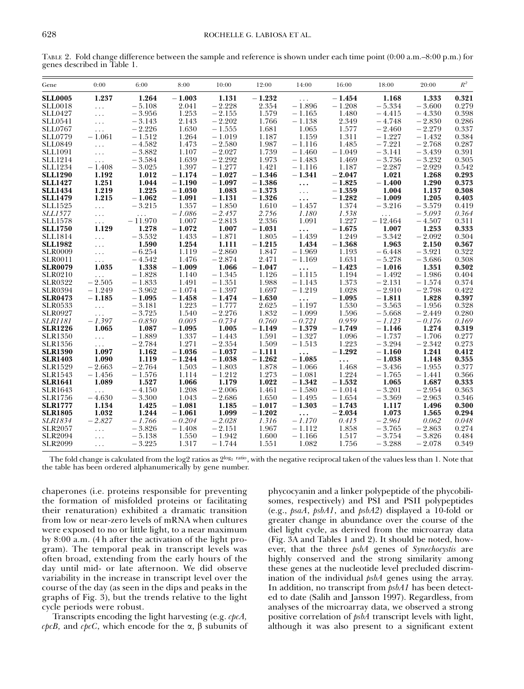TABLE 2. Fold change difference between the sample and reference is shown under each time point (0:00 a.m.–8:00 p.m.) for genes described in Table 1.

| Gene           | 0:00                        | 6:00              | 8:00     | 10:00             | 12:00             | 14:00                   | 16:00    | 18:00                   | 20:00             | $R^2$ |
|----------------|-----------------------------|-------------------|----------|-------------------|-------------------|-------------------------|----------|-------------------------|-------------------|-------|
| <b>SLL0005</b> | 1.237                       | 1.264             | $-1.003$ | 1.131             | $-1.232$          | $\sim 100$ km s $^{-1}$ | $-1.454$ | 1.168                   | 1.333             | 0.321 |
| <b>SLL0018</b> | $\ddotsc$                   | $-5.108$          | 2.041    | $-2.228$          | 2.354             | $-1.896$                | $-1.208$ | $-5.334$                | $-3.600$          | 0.279 |
| SLL0427        | $\ddotsc$                   | $-3.956$          | 1.253    | $-2.155$          | 1.579             | $-1.165$                | 1.480    | $-4.415$                | $-4.330$          | 0.398 |
| <b>SLL0541</b> | $\ddotsc$                   | $-3.143$          | 2.143    | $-2.202$          | 1.766             | $-1.138$                | 2.349    | $-4.748$                | $-2.830$          | 0.286 |
| <b>SLL0767</b> | $\cdots$                    | $-2.226$          | 1.630    | $-1.555$          | 1.681             | 1.065                   | 1.577    | $-2.460$                | $-2.279$          | 0.337 |
| <b>SLL0779</b> | $-1.061$                    | $-1.512$          | 1.264    | $-1.019$          | 1.187             | 1.159                   | 1.311    | $-1.227$                | $-1.432$          | 0.384 |
| <b>SLL0849</b> | $\ddotsc$                   | $-4.582$          | 1.473    | $-2.580$          | 1.987             | $-1.116$                | 1.485    | $-7.221$                | $-2.768$          | 0.287 |
| <b>SLL1091</b> | $\ldots$                    | $-3.882$          | 1.107    | $-2.027$          | 1.739             | $-1.460$                | $-1.049$ | $-3.141$                | $-3.439$          | 0.391 |
| <b>SLL1214</b> | $\ddotsc$                   | $-3.584$          | 1.639    | $-2.292$          | 1.973             | $-1.483$                | 1.469    | $-3.736$                | $-3.232$          | 0.305 |
| <b>SLL1234</b> | $-1.408$                    | $-3.025$          | 1.397    | $-1.277$          | 1.421             | $-1.116$                | 1.187    | $-2.287$                | $-2.929$          | 0.542 |
| <b>SLL1290</b> | 1.192                       | 1.012             | $-1.174$ | $-1.027$          | $-1.346$          | $-1.341$                | $-2.047$ | 1.021                   | 1.268             | 0.293 |
| <b>SLL1427</b> | 1.251                       | 1.044             | $-1.190$ | $-1.097$          | $-1.386$          |                         | $-1.825$ | $-1.400$                | 1.290             | 0.373 |
| <b>SLL1434</b> | 1.219                       | 1.225             | $-1.030$ | 1.083             | $-1.373$          | $\cdots$<br>$\ldots$    | $-1.359$ | 1.004                   | 1.137             | 0.308 |
| <b>SLL1479</b> | 1.215                       | $-1.062$          | $-1.091$ | $-1.131$          | $-1.326$          |                         | $-1.282$ | $-1.009$                | 1.205             | 0.403 |
| <b>SLL1525</b> |                             | $-3.215$          | 1.357    | $-1.850$          | 1.610             | $\cdots$<br>$-1.457$    | 1.374    | $-3.216$                | $-3.579$          | 0.419 |
| <i>SLL1577</i> | $\ddotsc$                   |                   | $-1.086$ | $-2.457$          | 2.756             | 1.180                   | 1.538    |                         | $-5.093$          | 0.364 |
|                | $\ldots$                    | $\sim$ .          | 1.007    | $-2.813$          | 2.336             | 1.091                   | 1.227    | $\sim 100$<br>$-12.464$ | $-4.507$          | 0.311 |
| SLL1578        | $\ldots$                    | $-11.970$         | $-1.072$ |                   |                   |                         | $-1.675$ |                         |                   | 0.333 |
| <b>SLL1750</b> | 1.129                       | 1.278<br>$-3.532$ |          | 1.007<br>$-1.871$ | $-1.031$<br>1.805 | $\cdots$                | 1.249    | 1.007<br>$-3.342$       | 1.253<br>$-2.092$ |       |
| SLL1814        | $\ddotsc$                   |                   | 1.433    |                   |                   | $-1.439$                |          |                         |                   | 0.304 |
| <b>SLL1982</b> | $\ddotsc$                   | 1.590             | 1.254    | 1.111             | $-1.215$          | 1.434                   | $-1.368$ | 1.963                   | 2.150             | 0.367 |
| <b>SLR0009</b> | $\ddotsc$                   | $-6.254$          | 1.119    | $-2.860$          | 1.847             | $-1.969$                | 1.193    | $-6.448$                | $-3.921$          | 0.322 |
| <b>SLR0011</b> | $\sim 100$                  | $-4.542$          | 1.476    | $-2.874$          | 2.471             | $-1.169$                | 1.631    | $-5.278$                | $-3.686$          | 0.308 |
| <b>SLR0079</b> | 1.035                       | 1.338             | $-1.009$ | 1.066             | $-1.047$          | $\cdots$                | $-1.423$ | $-1.016$                | 1.351             | 0.302 |
| <b>SLR0210</b> | $\ldots$                    | $-1.828$          | 1.140    | $-1.345$          | 1.126             | $-1.115$                | 1.194    | $-1.492$                | $-1.986$          | 0.404 |
| <b>SLR0322</b> | $-2.505$                    | $-1.833$          | 1.491    | $-1.351$          | 1.988             | $-1.143$                | 1.373    | $-2.131$                | $-1.574$          | 0.374 |
| <b>SLR0394</b> | $-1.249$                    | $-3.962$          | $-1.074$ | $-1.397$          | 1.697             | $-1.219$                | 1.028    | $-2.910$                | $-2.798$          | 0.422 |
| <b>SLR0473</b> | $-1.185$                    | $-1.095$          | $-1.458$ | $-1.474$          | $-1.630$          | $\cdots$                | $-1.095$ | $-1.811$                | 1.828             | 0.397 |
| SLR0533        | $\mathbb{Z}^2$ .            | $-3.181$          | 1.223    | $-1.777$          | 2.625             | $-1.197$                | 1.530    | $-3.563$                | $-1.956$          | 0.328 |
| SLR0927        | $\sim 100$                  | $-3.725$          | 1.540    | $-2.276$          | 1.832             | $-1.099$                | 1.596    | $-5.668$                | $-2.449$          | 0.280 |
| SLR1181        | $-1.397$                    | $-0.850$          | 0.005    | $-0.734$          | 0.760             | $-0.721$                | 0.959    | $-1.123$                | $-0.176$          | 0.169 |
| <b>SLR1226</b> | 1.065                       | 1.087             | $-1.095$ | 1.005             | $-1.149$          | $-1.379$                | $-1.749$ | $-1.146$                | 1.274             | 0.319 |
| <b>SLR1350</b> | $\ldots$                    | $-1.889$          | 1.337    | $-1.443$          | 1.591             | $-1.327$                | 1.096    | $-1.737$                | $-1.706$          | 0.277 |
| <b>SLR1356</b> | $\mathbf{1}$ , $\mathbf{1}$ | $-2.784$          | 1.271    | $-2.354$          | 1.509             | $-1.513$                | 1.223    | $-3.294$                | $-2.342$          | 0.273 |
| <b>SLR1390</b> | 1.097                       | 1.162             | $-1.036$ | $-1.037$          | $-1.111$          | $\cdots$                | $-1.292$ | $-1.160$                | 1.241             | 0.412 |
| <b>SLR1403</b> | 1.090                       | 1.119             | $-1.244$ | $-1.038$          | $-1.262$          | $-1.085$                | $\cdots$ | $-1.038$                | 1.148             | 0.355 |
| <b>SLR1529</b> | $-2.663$                    | $-2.764$          | 1.503    | $-1.803$          | 1.878             | $-1.066$                | 1.468    | $-3.436$                | $-1.955$          | 0.377 |
| <b>SLR1543</b> | $-1.456$                    | $-1.576$          | 1.114    | $-1.212$          | 1.273             | $-1.081$                | 1.224    | $-1.765$                | $-1.441$          | 0.366 |
| <b>SLR1641</b> | 1.089                       | 1.527             | 1.066    | 1.179             | 1.022             | $-1.342$                | $-1.532$ | 1.065                   | 1.687             | 0.333 |
| <b>SLR1643</b> | $\sim$ $\sim$ $\sim$        | $-4.150$          | 1.208    | $-2.006$          | 1.461             | $-1.580$                | $-1.014$ | $-3.201$                | $-2.954$          | 0.363 |
| <b>SLR1756</b> | $-4.630$                    | $-3.300$          | 1.043    | $-2.686$          | 1.650             | $-1.495$                | $-1.654$ | $-3.369$                | $-2.963$          | 0.346 |
| <b>SLR1777</b> | 1.134                       | 1.425             | $-1.081$ | 1.185             | $-1.017$          | $-1.303$                | $-1.743$ | 1.117                   | 1.496             | 0.300 |
| <b>SLR1805</b> | 1.032                       | 1.244             | $-1.061$ | 1.099             | $-1.202$          | $\cdots$                | $-2.034$ | 1.073                   | 1.565             | 0.294 |
| <i>SLR1834</i> | $-2.827$                    | $-1.766$          | $-0.204$ | $-2.028$          | 1.316             | $-1.170$                | 0.415    | $-2.961$                | 0.062             | 0.048 |
| SLR2057        | $\ldots$                    | $-3.826$          | $-1.408$ | $-2.151$          | 1.967             | $-1.112$                | 1.858    | $-3.765$                | $-2.863$          | 0.274 |
| SLR2094        | $\ddots$                    | $-5.138$          | 1.550    | $-1.942$          | 1.600             | $-1.166$                | 1.517    | $-3.754$                | $-3.826$          | 0.484 |
| SLR2099        | $\ldots$                    | $-3.225$          | 1.317    | $-1.744$          | 1.551             | 1.082                   | 1.756    | $-3.288$                | $-2.078$          | 0.349 |
|                |                             |                   |          |                   |                   |                         |          |                         |                   |       |

The fold change is calculated from the log2 ratios as  $2^{\log_2$  ratio, with the negative reciprocal taken of the values less than 1. Note that the table has been ordered alphanumerically by gene number.

chaperones (i.e. proteins responsible for preventing the formation of misfolded proteins or facilitating their renaturation) exhibited a dramatic transition from low or near-zero levels of mRNA when cultures were exposed to no or little light, to a near maximum by 8:00 a.m. (4 h after the activation of the light program). The temporal peak in transcript levels was often broad, extending from the early hours of the day until mid- or late afternoon. We did observe variability in the increase in transcript level over the course of the day (as seen in the dips and peaks in the graphs of Fig. 3), but the trends relative to the light cycle periods were robust.

Transcripts encoding the light harvesting (e.g. cpcA,  $\epsilon p c B$ , and  $\epsilon p c C$ , which encode for the  $\alpha$ ,  $\beta$  subunits of phycocyanin and a linker polypeptide of the phycobilisomes, respectively) and PSI and PSII polypeptides (e.g., psaA, psbA1, and psbA2) displayed a 10-fold or greater change in abundance over the course of the diel light cycle, as derived from the microarray data (Fig. 3A and Tables 1 and 2). It should be noted, however, that the three psbA genes of Synechocystis are highly conserved and the strong similarity among these genes at the nucleotide level precluded discrimination of the individual psbA genes using the array. In addition, no transcript from  $psbA1$  has been detected to date (Salih and Jansson 1997). Regardless, from analyses of the microarray data, we observed a strong positive correlation of psbA transcript levels with light, although it was also present to a significant extent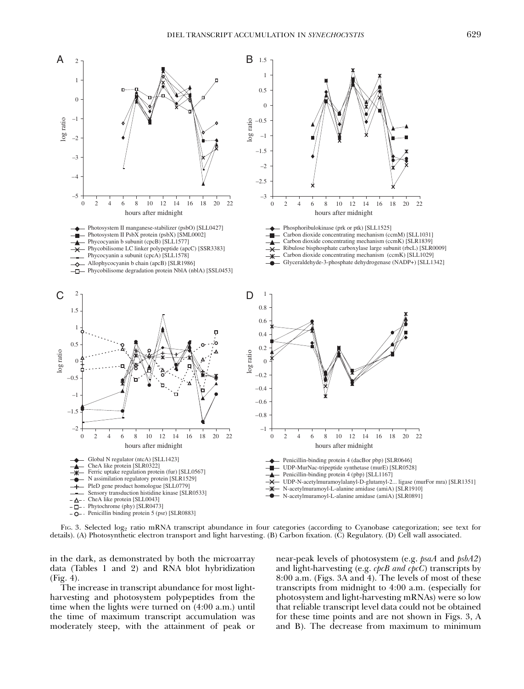

FIG. 3. Selected log<sub>2</sub> ratio mRNA transcript abundance in four categories (according to Cyanobase categorization; see text for details). (A) Photosynthetic electron transport and light harvesting. (B) Carbon fixation. (C) Regulatory. (D) Cell wall associated.

in the dark, as demonstrated by both the microarray data (Tables 1 and 2) and RNA blot hybridization (Fig. 4).

The increase in transcript abundance for most lightharvesting and photosystem polypeptides from the time when the lights were turned on (4:00 a.m.) until the time of maximum transcript accumulation was moderately steep, with the attainment of peak or near-peak levels of photosystem (e.g. *psaA* and *psbA2*) and light-harvesting (e.g.  $\epsilon p c B$  and  $\epsilon p c C$ ) transcripts by 8:00 a.m. (Figs. 3A and 4). The levels of most of these transcripts from midnight to 4:00 a.m. (especially for photosystem and light-harvesting mRNAs) were so low that reliable transcript level data could not be obtained for these time points and are not shown in Figs. 3, A and B). The decrease from maximum to minimum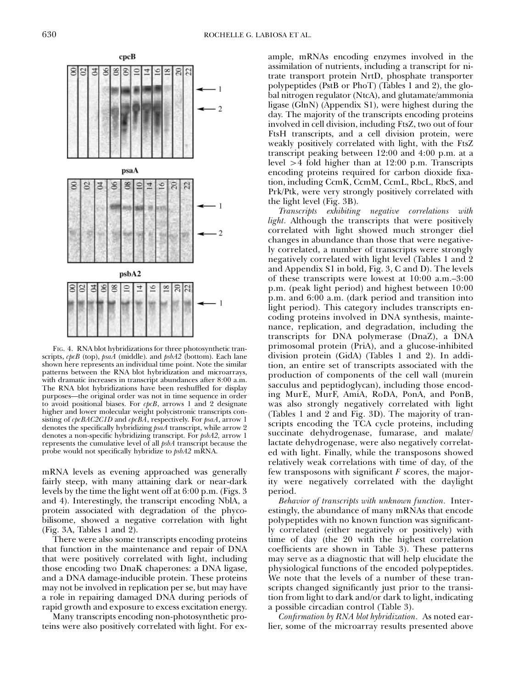FIG. 4. RNA blot hybridizations for three photosynthetic transcripts,  $cpcB$  (top),  $psaA$  (middle). and  $psbA2$  (bottom). Each lane shown here represents an individual time point. Note the similar patterns between the RNA blot hybridization and microarrays, with dramatic increases in transcript abundances after 8:00 a.m. The RNA blot hybridizations have been reshuffled for display purposes—the original order was not in time sequence in order to avoid positional biases. For  $\epsilon p c B$ , arrows 1 and 2 designate higher and lower molecular weight polycistronic transcripts consisting of cpcBAC2C1D and cpcBA, respectively. For psaA, arrow 1 denotes the specifically hybridizing psaA transcript, while arrow 2 denotes a non-specific hybridizing transcript. For psbA2, arrow 1 represents the cumulative level of all psbA transcript because the probe would not specifically hybridize to psbA2 mRNA.

mRNA levels as evening approached was generally fairly steep, with many attaining dark or near-dark levels by the time the light went off at 6:00 p.m. (Figs. 3 and 4). Interestingly, the transcript encoding NblA, a protein associated with degradation of the phycobilisome, showed a negative correlation with light (Fig. 3A, Tables 1 and 2).

There were also some transcripts encoding proteins that function in the maintenance and repair of DNA that were positively correlated with light, including those encoding two DnaK chaperones: a DNA ligase, and a DNA damage-inducible protein. These proteins may not be involved in replication per se, but may have a role in repairing damaged DNA during periods of rapid growth and exposure to excess excitation energy.

Many transcripts encoding non-photosynthetic proteins were also positively correlated with light. For example, mRNAs encoding enzymes involved in the assimilation of nutrients, including a transcript for nitrate transport protein NrtD, phosphate transporter polypeptides (PstB or PhoT) (Tables 1 and 2), the global nitrogen regulator (NtcA), and glutamate/ammonia ligase (GlnN) (Appendix S1), were highest during the day. The majority of the transcripts encoding proteins involved in cell division, including FtsZ, two out of four FtsH transcripts, and a cell division protein, were weakly positively correlated with light, with the FtsZ transcript peaking between 12:00 and 4:00 p.m. at a level  $>4$  fold higher than at 12:00 p.m. Transcripts encoding proteins required for carbon dioxide fixation, including CcmK, CcmM, CcmL, RbcL, RbcS, and Prk/Ptk, were very strongly positively correlated with the light level (Fig. 3B).

Transcripts exhibiting negative correlations with light. Although the transcripts that were positively correlated with light showed much stronger diel changes in abundance than those that were negatively correlated, a number of transcripts were strongly negatively correlated with light level (Tables 1 and 2 and Appendix S1 in bold, Fig. 3, C and D). The levels of these transcripts were lowest at 10:00 a.m.–3:00 p.m. (peak light period) and highest between 10:00 p.m. and 6:00 a.m. (dark period and transition into light period). This category includes transcripts encoding proteins involved in DNA synthesis, maintenance, replication, and degradation, including the transcripts for DNA polymerase (DnaZ), a DNA primosomal protein (PriA), and a glucose-inhibited division protein (GidA) (Tables 1 and 2). In addition, an entire set of transcripts associated with the production of components of the cell wall (murein sacculus and peptidoglycan), including those encoding MurE, MurF, AmiA, RoDA, PonA, and PonB, was also strongly negatively correlated with light (Tables 1 and 2 and Fig. 3D). The majority of transcripts encoding the TCA cycle proteins, including succinate dehydrogenase, fumarase, and malate/ lactate dehydrogenase, were also negatively correlated with light. Finally, while the transposons showed relatively weak correlations with time of day, of the few transposons with significant  $F$  scores, the majority were negatively correlated with the daylight period.

Behavior of transcripts with unknown function. Interestingly, the abundance of many mRNAs that encode polypeptides with no known function was significantly correlated (either negatively or positively) with time of day (the 20 with the highest correlation coefficients are shown in Table 3). These patterns may serve as a diagnostic that will help elucidate the physiological functions of the encoded polypeptides. We note that the levels of a number of these transcripts changed significantly just prior to the transition from light to dark and/or dark to light, indicating a possible circadian control (Table 3).

Confirmation by RNA blot hybridization. As noted earlier, some of the microarray results presented above

![](_page_8_Figure_9.jpeg)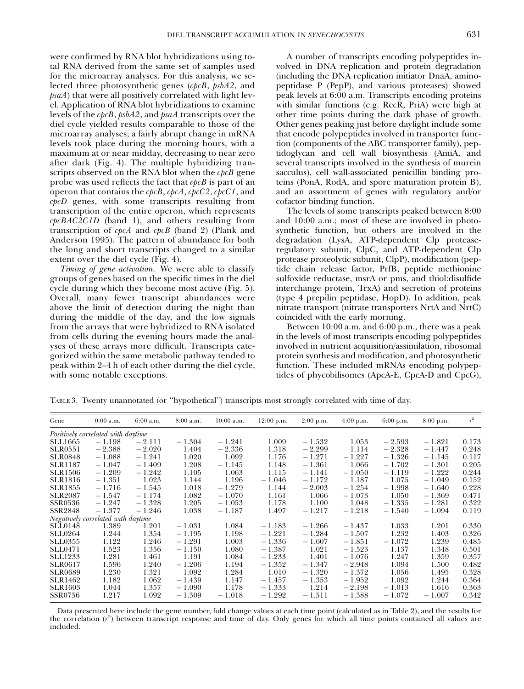were confirmed by RNA blot hybridizations using total RNA derived from the same set of samples used for the microarray analyses. For this analysis, we selected three photosynthetic genes (cpcB, psbA2, and psaA) that were all positively correlated with light level. Application of RNA blot hybridizations to examine levels of the cpcB, psbA2, and psaA transcripts over the diel cycle yielded results comparable to those of the microarray analyses; a fairly abrupt change in mRNA levels took place during the morning hours, with a maximum at or near midday, decreasing to near zero after dark (Fig. 4). The multiple hybridizing transcripts observed on the RNA blot when the  $\epsilon \phi cB$  gene probe was used reflects the fact that  $\epsilon \phi cB$  is part of an operon that contains the  $\mathit{cpcB}, \mathit{cpcA}, \mathit{cpcC2}, \mathit{cpcCl}$ , and cpcD genes, with some transcripts resulting from transcription of the entire operon, which represents cpcBAC2C1D (band 1), and others resulting from transcription of  $\epsilon \phi cA$  and  $\epsilon \phi cB$  (band 2) (Plank and Anderson 1995). The pattern of abundance for both the long and short transcripts changed to a similar extent over the diel cycle (Fig. 4).

Timing of gene activation. We were able to classify groups of genes based on the specific times in the diel cycle during which they become most active (Fig. 5). Overall, many fewer transcript abundances were above the limit of detection during the night than during the middle of the day, and the low signals from the arrays that were hybridized to RNA isolated from cells during the evening hours made the analyses of these arrays more difficult. Transcripts categorized within the same metabolic pathway tended to peak within 2–4 h of each other during the diel cycle, with some notable exceptions.

A number of transcripts encoding polypeptides involved in DNA replication and protein degradation (including the DNA replication initiator DnaA, aminopeptidase P (PepP), and various proteases) showed peak levels at 6:00 a.m. Transcripts encoding proteins with similar functions (e.g. RecR, PriA) were high at other time points during the dark phase of growth. Other genes peaking just before daylight include some that encode polypeptides involved in transporter function (components of the ABC transporter family), peptidoglycan and cell wall biosynthesis (AmiA, and several transcripts involved in the synthesis of murein sacculus), cell wall-associated penicillin binding proteins (PonA, RodA, and spore maturation protein B), and an assortment of genes with regulatory and/or cofactor binding function.

The levels of some transcripts peaked between 8:00 and 10:00 a.m.; most of these are involved in photosynthetic function, but others are involved in the degradation (LysA, ATP-dependent Clp proteaseregulatory subunit, ClpC, and ATP-dependent Clp protease proteolytic subunit, ClpP), modification (peptide chain release factor, PrfB, peptide methionine sulfoxide reductase, msrA or pms, and thiol:disulfide interchange protein, TrxA) and secretion of proteins (type 4 prepilin peptidase, HopD). In addition, peak nitrate transport (nitrate transporters NrtA and NrtC) coincided with the early morning.

Between 10:00 a.m. and 6:00 p.m., there was a peak in the levels of most transcripts encoding polypeptides involved in nutrient acquisition/assimilation, ribosomal protein synthesis and modification, and photosynthetic function. These included mRNAs encoding polypeptides of phycobilisomes (ApcA-E, CpcA-D and CpcG),

TABLE 3. Twenty unannotated (or ''hypothetical'') transcripts most strongly correlated with time of day.

| Gene           | $0:00$ a.m.                        | $6:00$ a.m. | 8:00 a.m. | $10:00$ a.m. | $12:00$ p.m. | $2:00$ p.m. | $4:00$ p.m. | $6:00$ p.m. | $8:00$ p.m. | $r^2$ |
|----------------|------------------------------------|-------------|-----------|--------------|--------------|-------------|-------------|-------------|-------------|-------|
|                | Positively correlated with daytime |             |           |              |              |             |             |             |             |       |
| <b>SLL1665</b> | $-1.198$                           | $-2.111$    | $-1.304$  | $-1.241$     | 1.009        | $-1.532$    | 1.053       | $-2.593$    | $-1.821$    | 0.173 |
| <b>SLR0551</b> | $-2.388$                           | $-2.020$    | 1.404     | $-2.336$     | 1.318        | $-2.299$    | 1.114       | $-2.328$    | $-1.447$    | 0.248 |
| <b>SLR0848</b> | $-1.088$                           | $-1.241$    | 1.020     | 1.092        | 1.176        | $-1.271$    | $-1.227$    | $-1.326$    | $-1.145$    | 0.117 |
| <b>SLR1187</b> | $-1.047$                           | $-1.409$    | 1.208     | $-1.145$     | 1.148        | $-1.361$    | 1.066       | $-1.702$    | $-1.301$    | 0.205 |
| <b>SLR1506</b> | $-1.209$                           | $-1.242$    | 1.105     | 1.063        | 1.115        | $-1.141$    | $-1.050$    | $-1.119$    | $-1.222$    | 0.244 |
| <b>SLR1816</b> | $-1.351$                           | 1.023       | 1.144     | 1.196        | $-1.046$     | $-1.172$    | 1.187       | 1.075       | $-1.049$    | 0.152 |
| <b>SLR1855</b> | $-1.716$                           | $-1.545$    | 1.018     | $-1.279$     | 1.144        | $-2.003$    | $-1.254$    | $-1.998$    | $-1.640$    | 0.228 |
| <b>SLR2087</b> | $-1.547$                           | $-1.174$    | 1.082     | $-1.070$     | 1.161        | 1.066       | $-1.073$    | 1.050       | $-1.369$    | 0.471 |
| <b>SSR0536</b> | $-1.247$                           | $-1.328$    | 1.205     | $-1.053$     | 1.178        | 1.100       | 1.048       | $-1.335$    | $-1.281$    | 0.322 |
| SSR2848        | $-1.377$                           | $-1.246$    | 1.038     | $-1.187$     | 1.497        | $-1.217$    | $-1.218$    | $-1.540$    | $-1.094$    | 0.119 |
|                | Negatively correlated with daytime |             |           |              |              |             |             |             |             |       |
| <b>SLL0148</b> | 1.389                              | 1.201       | $-1.031$  | 1.084        | $-1.183$     | $-1.266$    | $-1.437$    | 1.033       | 1.201       | 0.330 |
| <b>SLL0264</b> | 1.244                              | 1.354       | $-1.195$  | 1.198        | $-1.221$     | $-1.284$    | $-1.507$    | 1.232       | 1.403       | 0.326 |
| <b>SLL0355</b> | 1.122                              | 1.246       | $-1.291$  | 1.003        | $-1.336$     | $-1.607$    | $-1.851$    | $-1.072$    | 1.239       | 0.485 |
| <b>SLL0471</b> | 1.523                              | 1.356       | $-1.150$  | 1.080        | $-1.387$     | 1.021       | $-1.523$    | 1.137       | 1.348       | 0.501 |
| <b>SLL1233</b> | 1.281                              | 1.461       | 1.191     | 1.084        | $-1.233$     | 1.401       | $-1.076$    | 1.247       | 1.359       | 0.357 |
| SLR0617        | 1.596                              | 1.240       | $-1.206$  | 1.194        | $-1.352$     | $-1.347$    | $-2.948$    | 1.094       | 1.500       | 0.482 |
| <b>SLR0689</b> | 1.230                              | 1.321       | 1.092     | 1.284        | 1.010        | $-1.320$    | $-1.372$    | 1.056       | 1.495       | 0.328 |
| SLR1462        | 1.182                              | 1.062       | $-1.439$  | 1.147        | $-1.457$     | $-1.353$    | $-1.952$    | 1.092       | 1.244       | 0.364 |
| <b>SLR1603</b> | 1.044                              | 1.357       | $-1.090$  | 1.178        | $-1.333$     | 1.214       | $-2.198$    | $-1.013$    | 1.616       | 0.363 |
| SSR0756        | 1.217                              | 1.092       | $-1.309$  | $-1.018$     | $-1.292$     | $-1.511$    | $-1.388$    | $-1.072$    | $-1.007$    | 0.342 |
|                |                                    |             |           |              |              |             |             |             |             |       |

Data presented here include the gene number, fold change values at each time point (calculated as in Table 2), and the results for the correlation ( $r^2$ ) between transcript response and time of day. Only genes for which all time points contained all values are included.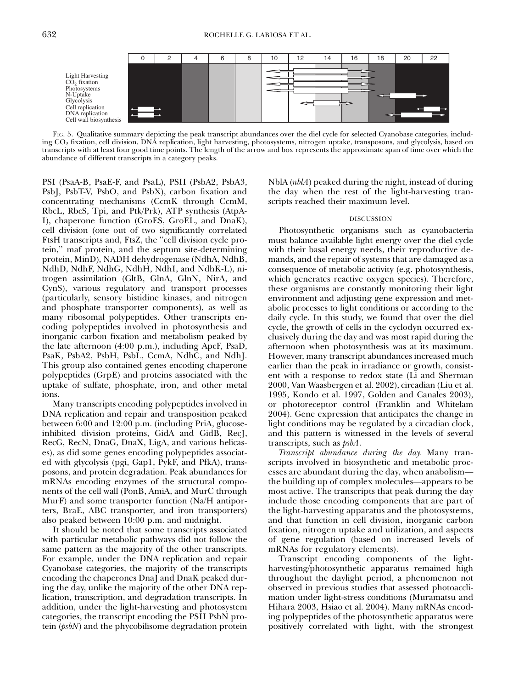![](_page_10_Figure_1.jpeg)

FIG. 5. Qualitative summary depicting the peak transcript abundances over the diel cycle for selected Cyanobase categories, including CO2 fixation, cell division, DNA replication, light harvesting, photosystems, nitrogen uptake, transposons, and glycolysis, based on transcripts with at least four good time points. The length of the arrow and box represents the approximate span of time over which the abundance of different transcripts in a category peaks.

PSI (PsaA-B, PsaE-F, and PsaL), PSII (PsbA2, PsbA3, PsbJ, PsbT-V, PsbO, and PsbX), carbon fixation and concentrating mechanisms (CcmK through CcmM, RbcL, RbcS, Tpi, and Ptk/Prk), ATP synthesis (AtpA-I), chaperone function (GroES, GroEL, and DnaK), cell division (one out of two significantly correlated FtsH transcripts and, FtsZ, the ''cell division cycle protein,'' maf protein, and the septum site-determining protein, MinD), NADH dehydrogenase (NdhA, NdhB, NdhD, NdhF, NdhG, NdhH, NdhI, and NdhK-L), nitrogen assimilation (GltB, GlnA, GlnN, NirA, and CynS), various regulatory and transport processes (particularly, sensory histidine kinases, and nitrogen and phosphate transporter components), as well as many ribosomal polypeptides. Other transcripts encoding polypeptides involved in photosynthesis and inorganic carbon fixation and metabolism peaked by the late afternoon (4:00 p.m.), including ApcF, PsaD, PsaK, PsbA2, PsbH, PsbL, CcmA, NdhC, and NdhJ. This group also contained genes encoding chaperone polypeptides (GrpE) and proteins associated with the uptake of sulfate, phosphate, iron, and other metal ions.

Many transcripts encoding polypeptides involved in DNA replication and repair and transposition peaked between 6:00 and 12:00 p.m. (including PriA, glucoseinhibited division proteins, GidA and GidB, RecJ, RecG, RecN, DnaG, DnaX, LigA, and various helicases), as did some genes encoding polypeptides associated with glycolysis (pgi, Gap1, PykF, and PfkA), transposons, and protein degradation. Peak abundances for mRNAs encoding enzymes of the structural components of the cell wall (PonB, AmiA, and MurC through MurF) and some transporter function (Na/H antiporters, BraE, ABC transporter, and iron transporters) also peaked between 10:00 p.m. and midnight.

It should be noted that some transcripts associated with particular metabolic pathways did not follow the same pattern as the majority of the other transcripts. For example, under the DNA replication and repair Cyanobase categories, the majority of the transcripts encoding the chaperones DnaJ and DnaK peaked during the day, unlike the majority of the other DNA replication, transcription, and degradation transcripts. In addition, under the light-harvesting and photosystem categories, the transcript encoding the PSII PsbN protein (psbN) and the phycobilisome degradation protein NblA (nblA) peaked during the night, instead of during the day when the rest of the light-harvesting transcripts reached their maximum level.

#### DISCUSSION

Photosynthetic organisms such as cyanobacteria must balance available light energy over the diel cycle with their basal energy needs, their reproductive demands, and the repair of systems that are damaged as a consequence of metabolic activity (e.g. photosynthesis, which generates reactive oxygen species). Therefore, these organisms are constantly monitoring their light environment and adjusting gene expression and metabolic processes to light conditions or according to the daily cycle. In this study, we found that over the diel cycle, the growth of cells in the cyclodyn occurred exclusively during the day and was most rapid during the afternoon when photosynthesis was at its maximum. However, many transcript abundances increased much earlier than the peak in irradiance or growth, consistent with a response to redox state (Li and Sherman 2000, Van Waasbergen et al. 2002), circadian (Liu et al. 1995, Kondo et al. 1997, Golden and Canales 2003), or photoreceptor control (Franklin and Whitelam 2004). Gene expression that anticipates the change in light conditions may be regulated by a circadian clock, and this pattern is witnessed in the levels of several transcripts, such as psbA.

Transcript abundance during the day. Many transcripts involved in biosynthetic and metabolic processes are abundant during the day, when anabolism the building up of complex molecules—appears to be most active. The transcripts that peak during the day include those encoding components that are part of the light-harvesting apparatus and the photosystems, and that function in cell division, inorganic carbon fixation, nitrogen uptake and utilization, and aspects of gene regulation (based on increased levels of mRNAs for regulatory elements).

Transcript encoding components of the lightharvesting/photosynthetic apparatus remained high throughout the daylight period, a phenomenon not observed in previous studies that assessed photoacclimation under light-stress conditions (Muramatsu and Hihara 2003, Hsiao et al. 2004). Many mRNAs encoding polypeptides of the photosynthetic apparatus were positively correlated with light, with the strongest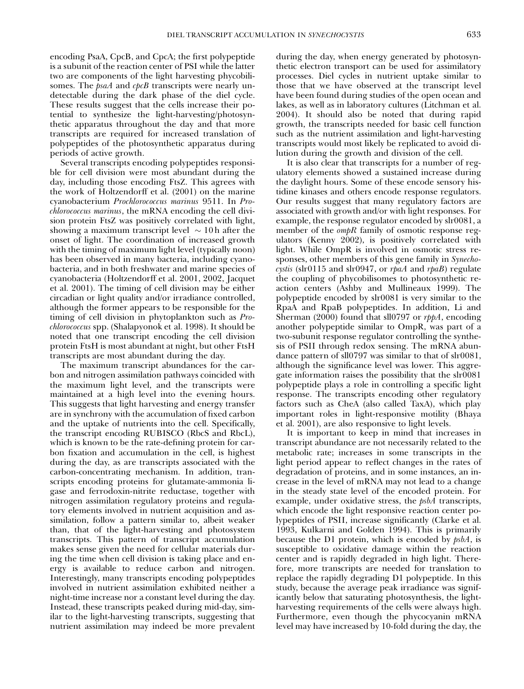encoding PsaA, CpcB, and CpcA; the first polypeptide is a subunit of the reaction center of PSI while the latter two are components of the light harvesting phycobilisomes. The *psaA* and *cpcB* transcripts were nearly undetectable during the dark phase of the diel cycle. These results suggest that the cells increase their potential to synthesize the light-harvesting/photosynthetic apparatus throughout the day and that more transcripts are required for increased translation of polypeptides of the photosynthetic apparatus during periods of active growth.

Several transcripts encoding polypeptides responsible for cell division were most abundant during the day, including those encoding FtsZ. This agrees with the work of Holtzendorff et al. (2001) on the marine cyanobacterium Prochlorococcus marinus 9511. In Prochlorococcus marinus, the mRNA encoding the cell division protein FtsZ was positively correlated with light, showing a maximum transcript level  $\sim 10$  h after the onset of light. The coordination of increased growth with the timing of maximum light level (typically noon) has been observed in many bacteria, including cyanobacteria, and in both freshwater and marine species of cyanobacteria (Holtzendorff et al. 2001, 2002, Jacquet et al. 2001). The timing of cell division may be either circadian or light quality and/or irradiance controlled, although the former appears to be responsible for the timing of cell division in phytoplankton such as Prochlorococcus spp. (Shalapyonok et al. 1998). It should be noted that one transcript encoding the cell division protein FtsH is most abundant at night, but other FtsH transcripts are most abundant during the day.

The maximum transcript abundances for the carbon and nitrogen assimilation pathways coincided with the maximum light level, and the transcripts were maintained at a high level into the evening hours. This suggests that light harvesting and energy transfer are in synchrony with the accumulation of fixed carbon and the uptake of nutrients into the cell. Specifically, the transcript encoding RUBISCO (RbcS and RbcL), which is known to be the rate-defining protein for carbon fixation and accumulation in the cell, is highest during the day, as are transcripts associated with the carbon-concentrating mechanism. In addition, transcripts encoding proteins for glutamate-ammonia ligase and ferrodoxin-nitrite reductase, together with nitrogen assimilation regulatory proteins and regulatory elements involved in nutrient acquisition and assimilation, follow a pattern similar to, albeit weaker than, that of the light-harvesting and photosystem transcripts. This pattern of transcript accumulation makes sense given the need for cellular materials during the time when cell division is taking place and energy is available to reduce carbon and nitrogen. Interestingly, many transcripts encoding polypeptides involved in nutrient assimilation exhibited neither a night-time increase nor a constant level during the day. Instead, these transcripts peaked during mid-day, similar to the light-harvesting transcripts, suggesting that nutrient assimilation may indeed be more prevalent during the day, when energy generated by photosynthetic electron transport can be used for assimilatory processes. Diel cycles in nutrient uptake similar to those that we have observed at the transcript level have been found during studies of the open ocean and lakes, as well as in laboratory cultures (Litchman et al. 2004). It should also be noted that during rapid growth, the transcripts needed for basic cell function such as the nutrient assimilation and light-harvesting transcripts would most likely be replicated to avoid dilution during the growth and division of the cell.

It is also clear that transcripts for a number of regulatory elements showed a sustained increase during the daylight hours. Some of these encode sensory histidine kinases and others encode response regulators. Our results suggest that many regulatory factors are associated with growth and/or with light responses. For example, the response regulator encoded by slr0081, a member of the *ompR* family of osmotic response regulators (Kenny 2002), is positively correlated with light. While OmpR is involved in osmotic stress responses, other members of this gene family in Synechocystis (slr0115 and slr0947, or rpaA and rpaB) regulate the coupling of phycobilisomes to photosynthetic reaction centers (Ashby and Mullineaux 1999). The polypeptide encoded by slr0081 is very similar to the RpaA and RpaB polypeptides. In addition, Li and Sherman (2000) found that sll0797 or rppA, encoding another polypeptide similar to OmpR, was part of a two-subunit response regulator controlling the synthesis of PSII through redox sensing. The mRNA abundance pattern of sll0797 was similar to that of slr0081, although the significance level was lower. This aggregate information raises the possibility that the slr0081 polypeptide plays a role in controlling a specific light response. The transcripts encoding other regulatory factors such as CheA (also called TaxA), which play important roles in light-responsive motility (Bhaya et al. 2001), are also responsive to light levels.

It is important to keep in mind that increases in transcript abundance are not necessarily related to the metabolic rate; increases in some transcripts in the light period appear to reflect changes in the rates of degradation of proteins, and in some instances, an increase in the level of mRNA may not lead to a change in the steady state level of the encoded protein. For example, under oxidative stress, the *psbA* transcripts, which encode the light responsive reaction center polypeptides of PSII, increase significantly (Clarke et al. 1993, Kulkarni and Golden 1994). This is primarily because the D1 protein, which is encoded by psbA, is susceptible to oxidative damage within the reaction center and is rapidly degraded in high light. Therefore, more transcripts are needed for translation to replace the rapidly degrading D1 polypeptide. In this study, because the average peak irradiance was significantly below that saturating photosynthesis, the lightharvesting requirements of the cells were always high. Furthermore, even though the phycocyanin mRNA level may have increased by 10-fold during the day, the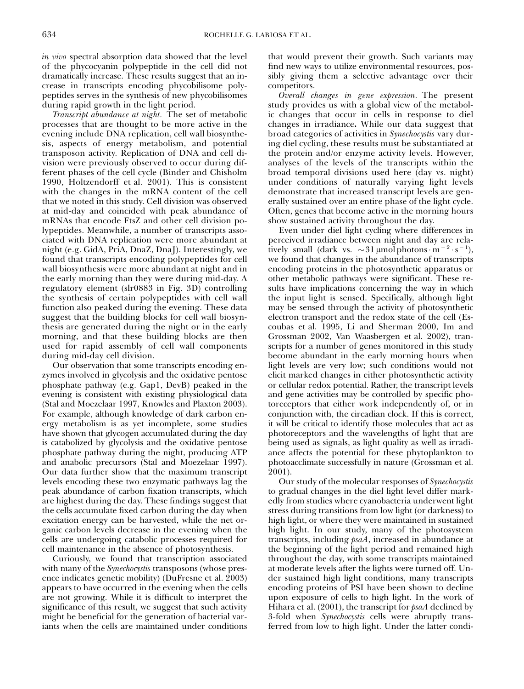in vivo spectral absorption data showed that the level of the phycocyanin polypeptide in the cell did not dramatically increase. These results suggest that an increase in transcripts encoding phycobilisome polypeptides serves in the synthesis of new phycobilisomes during rapid growth in the light period.

Transcript abundance at night. The set of metabolic processes that are thought to be more active in the evening include DNA replication, cell wall biosynthesis, aspects of energy metabolism, and potential transposon activity. Replication of DNA and cell division were previously observed to occur during different phases of the cell cycle (Binder and Chisholm 1990, Holtzendorff et al. 2001). This is consistent with the changes in the mRNA content of the cell that we noted in this study. Cell division was observed at mid-day and coincided with peak abundance of mRNAs that encode FtsZ and other cell division polypeptides. Meanwhile, a number of transcripts associated with DNA replication were more abundant at night (e.g. GidA, PriA, DnaZ, DnaJ). Interestingly, we found that transcripts encoding polypeptides for cell wall biosynthesis were more abundant at night and in the early morning than they were during mid-day. A regulatory element (slr0883 in Fig. 3D) controlling the synthesis of certain polypeptides with cell wall function also peaked during the evening. These data suggest that the building blocks for cell wall biosynthesis are generated during the night or in the early morning, and that these building blocks are then used for rapid assembly of cell wall components during mid-day cell division.

Our observation that some transcripts encoding enzymes involved in glycolysis and the oxidative pentose phosphate pathway (e.g. Gap1, DevB) peaked in the evening is consistent with existing physiological data (Stal and Moezelaar 1997, Knowles and Plaxton 2003). For example, although knowledge of dark carbon energy metabolism is as yet incomplete, some studies have shown that glycogen accumulated during the day is catabolized by glycolysis and the oxidative pentose phosphate pathway during the night, producing ATP and anabolic precursors (Stal and Moezelaar 1997). Our data further show that the maximum transcript levels encoding these two enzymatic pathways lag the peak abundance of carbon fixation transcripts, which are highest during the day. These findings suggest that the cells accumulate fixed carbon during the day when excitation energy can be harvested, while the net organic carbon levels decrease in the evening when the cells are undergoing catabolic processes required for cell maintenance in the absence of photosynthesis.

Curiously, we found that transcription associated with many of the Synechocystis transposons (whose presence indicates genetic mobility) (DuFresne et al. 2003) appears to have occurred in the evening when the cells are not growing. While it is difficult to interpret the significance of this result, we suggest that such activity might be beneficial for the generation of bacterial variants when the cells are maintained under conditions that would prevent their growth. Such variants may find new ways to utilize environmental resources, possibly giving them a selective advantage over their competitors.

Overall changes in gene expression. The present study provides us with a global view of the metabolic changes that occur in cells in response to diel changes in irradiance. While our data suggest that broad categories of activities in Synechocystis vary during diel cycling, these results must be substantiated at the protein and/or enzyme activity levels. However, analyses of the levels of the transcripts within the broad temporal divisions used here (day vs. night) under conditions of naturally varying light levels demonstrate that increased transcript levels are generally sustained over an entire phase of the light cycle. Often, genes that become active in the morning hours show sustained activity throughout the day.

Even under diel light cycling where differences in perceived irradiance between night and day are relatively small (dark vs.  $\sim 31 \,\mu\text{mol}$  photons  $\cdot$  m<sup>-2</sup> $\cdot$ s<sup>-1</sup>), we found that changes in the abundance of transcripts encoding proteins in the photosynthetic apparatus or other metabolic pathways were significant. These results have implications concerning the way in which the input light is sensed. Specifically, although light may be sensed through the activity of photosynthetic electron transport and the redox state of the cell (Escoubas et al. 1995, Li and Sherman 2000, Im and Grossman 2002, Van Waasbergen et al. 2002), transcripts for a number of genes monitored in this study become abundant in the early morning hours when light levels are very low; such conditions would not elicit marked changes in either photosynthetic activity or cellular redox potential. Rather, the transcript levels and gene activities may be controlled by specific photoreceptors that either work independently of, or in conjunction with, the circadian clock. If this is correct, it will be critical to identify those molecules that act as photoreceptors and the wavelengths of light that are being used as signals, as light quality as well as irradiance affects the potential for these phytoplankton to photoacclimate successfully in nature (Grossman et al. 2001).

Our study of the molecular responses of Synechocystis to gradual changes in the diel light level differ markedly from studies where cyanobacteria underwent light stress during transitions from low light (or darkness) to high light, or where they were maintained in sustained high light. In our study, many of the photosystem transcripts, including psaA, increased in abundance at the beginning of the light period and remained high throughout the day, with some transcripts maintained at moderate levels after the lights were turned off. Under sustained high light conditions, many transcripts encoding proteins of PSI have been shown to decline upon exposure of cells to high light. In the work of Hihara et al. (2001), the transcript for *psaA* declined by 3-fold when Synechocystis cells were abruptly transferred from low to high light. Under the latter condi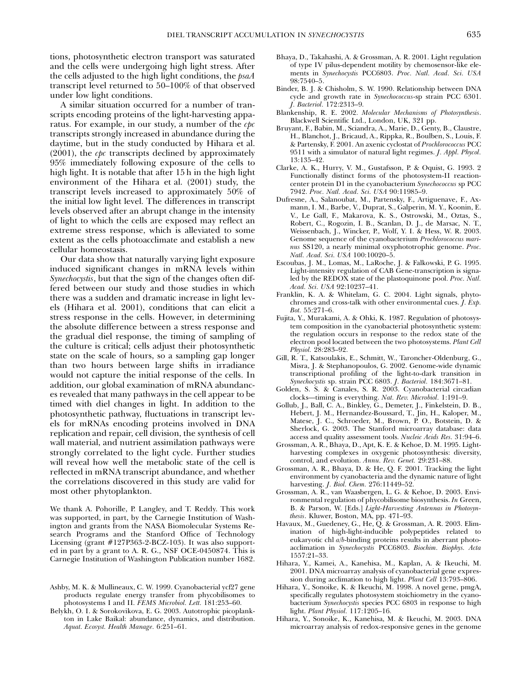tions, photosynthetic electron transport was saturated and the cells were undergoing high light stress. After the cells adjusted to the high light conditions, the psaA transcript level returned to 50–100% of that observed under low light conditions.

A similar situation occurred for a number of transcripts encoding proteins of the light-harvesting apparatus. For example, in our study, a number of the cpc transcripts strongly increased in abundance during the daytime, but in the study conducted by Hihara et al.  $(2001)$ , the *cpc* transcripts declined by approximately 95% immediately following exposure of the cells to high light. It is notable that after 15 h in the high light environment of the Hihara et al. (2001) study, the transcript levels increased to approximately 50% of the initial low light level. The differences in transcript levels observed after an abrupt change in the intensity of light to which the cells are exposed may reflect an extreme stress response, which is alleviated to some extent as the cells photoacclimate and establish a new cellular homeostasis.

Our data show that naturally varying light exposure induced significant changes in mRNA levels within Synechocystis, but that the sign of the changes often differed between our study and those studies in which there was a sudden and dramatic increase in light levels (Hihara et al. 2001), conditions that can elicit a stress response in the cells. However, in determining the absolute difference between a stress response and the gradual diel response, the timing of sampling of the culture is critical; cells adjust their photosynthetic state on the scale of hours, so a sampling gap longer than two hours between large shifts in irradiance would not capture the initial response of the cells. In addition, our global examination of mRNA abundances revealed that many pathways in the cell appear to be timed with diel changes in light. In addition to the photosynthetic pathway, fluctuations in transcript levels for mRNAs encoding proteins involved in DNA replication and repair, cell division, the synthesis of cell wall material, and nutrient assimilation pathways were strongly correlated to the light cycle. Further studies will reveal how well the metabolic state of the cell is reflected in mRNA transcript abundance, and whether the correlations discovered in this study are valid for most other phytoplankton.

We thank A. Pohorille, P. Langley, and T. Reddy. This work was supported, in part, by the Carnegie Institution of Washington and grants from the NASA Biomolecular Systems Research Programs and the Stanford Office of Technology Licensing (grant #127P363-2-BCZ-103). It was also supported in part by a grant to A. R. G., NSF OCE-0450874. This is Carnegie Institution of Washington Publication number 1682.

- Ashby, M. K. & Mullineaux, C. W. 1999. Cyanobacterial ycf27 gene products regulate energy transfer from phycobilisomes to photosystems I and II. FEMS Microbiol. Lett. 181:253–60.
- Belykh, O. I. & Sorokovikova, E. G. 2003. Autotrophic picoplankton in Lake Baikal: abundance, dynamics, and distribution. Aquat. Ecosyst. Health Manage. 6:251–61.
- Bhaya, D., Takahashi, A. & Grossman, A. R. 2001. Light regulation of type IV pilus-dependent motility by chemosensor-like elements in Synechocystis PCC6803. Proc. Natl. Acad. Sci. USA 98:7540–5.
- Binder, B. J. & Chisholm, S. W. 1990. Relationship between DNA cycle and growth rate in Synechococcus-sp strain PCC 6301. J. Bacteriol. 172:2313–9.
- Blankenship, R. E. 2002. Molecular Mechanisms of Photosynthesis. Blackwell Scientific Ltd., London, UK, 321 pp.
- Bruyant, F., Babin, M., Sciandra, A., Marie, D., Genty, B., Claustre, H., Blanchot, J., Bricaud, A., Rippka, R., Boulben, S., Louis, F. & Partensky, F. 2001. An axenic cyclostat of Prochlorococcus PCC 9511 with a simulator of natural light regimes. J. Appl. Phycol. 13:135–42.
- Clarke, A. K., Hurry, V. M., Gustafsson, P. & Oquist, G. 1993. 2 Functionally distinct forms of the photosystem-II reactioncenter protein D1 in the cyanobacterium Synechococcus sp PCC 7942. Proc. Natl. Acad. Sci. USA 90:11985–9.
- Dufresne, A., Salanoubat, M., Partensky, F., Artiguenave, F., Axmann, I. M., Barbe, V., Duprat, S., Galperin, M. Y., Koonin, E. V., Le Gall, F., Makarova, K. S., Ostrowski, M., Oztas, S., Robert, C., Rogozin, I. B., Scanlan, D. J., de Marsac, N. T., Weissenbach, J., Wincker, P., Wolf, Y. I. & Hess, W. R. 2003. Genome sequence of the cyanobacterium Prochlorococcus marinus SS120, a nearly minimal oxyphototrophic genome. Proc. Natl. Acad. Sci. USA 100:10020–5.
- Escoubas, J. M., Lomas, M., LaRoche, J. & Falkowski, P. G. 1995. Light-intensity regulation of CAB Gene-transcription is signaled by the REDOX state of the plastoquinone pool. Proc. Natl. Acad. Sci. USA 92:10237–41.
- Franklin, K. A. & Whitelam, G. C. 2004. Light signals, phytochromes and cross-talk with other environmental cues. J. Exp. Bot. 55:271–6.
- Fujita, Y., Murakami, A. & Ohki, K. 1987. Regulation of photosystem composition in the cyanobacterial photosynthetic system: the regulation occurs in response to the redox state of the electron pool located between the two photosystems. Plant Cell Physiol. 28:283–92.
- Gill, R. T., Katsoulakis, E., Schmitt, W., Taroncher-Oldenburg, G., Misra, J. & Stephanopoulos, G. 2002. Genome-wide dynamic transcriptional profiling of the light-to-dark transition in Synechocystis sp. strain PCC 6803. J. Bacteriol. 184:3671–81.
- Golden, S. S. & Canales, S. R. 2003. Cyanobacterial circadian clocks—timing is everything. Nat. Rev. Microbiol. 1:191–9.
- Gollub, J., Ball, C. A., Binkley, G., Demeter, J., Finkelstein, D. B., Hebert, J. M., Hernandez-Boussard, T., Jin, H., Kaloper, M., Matese, J. C., Schroeder, M., Brown, P. O., Botstein, D. & Sherlock, G. 2003. The Stanford microarray database: data access and quality assessment tools. Nucleic Acids Res. 31:94–6.
- Grossman, A. R., Bhaya, D., Apt, K. E. & Kehoe, D. M. 1995. Lightharvesting complexes in oxygenic photosynthesis: diversity, control, and evolution. Annu. Rev. Genet. 29:231–88.
- Grossman, A. R., Bhaya, D. & He, Q. F. 2001. Tracking the light environment by cyanobacteria and the dynamic nature of light harvesting. J. Biol. Chem. 276:11449–52.
- Grossman, A. R., van Waasbergen, L. G. & Kehoe, D. 2003. Environmental regulation of phycobilisome biosynthesis. In Green, B. & Parson, W. [Eds.] Light-Harvesting Antennas in Photosynthesis. Kluwer, Boston, MA, pp. 471–93.
- Havaux, M., Guedeney, G., He, Q. & Grossman, A. R. 2003. Elimination of high-light-inducible polypeptides related to eukaryotic chl a/b-binding proteins results in aberrant photoacclimation in Synechocystis PCC6803. Biochim. Biophys. Acta 1557:21–33.
- Hihara, Y., Kamei, A., Kanehisa, M., Kaplan, A. & Ikeuchi, M. 2001. DNA microarray analysis of cyanobacterial gene expression during acclimation to high light. Plant Cell 13:793-806.
- Hihara, Y., Sonoike, K. & Ikeuchi, M. 1998. A novel gene, pmgA, specifically regulates photosystem stoichiometry in the cyanobacterium Synechocystis species PCC 6803 in response to high light. Plant Physiol. 117:1205–16.
- Hihara, Y., Sonoike, K., Kanehisa, M. & Ikeuchi, M. 2003. DNA microarray analysis of redox-responsive genes in the genome